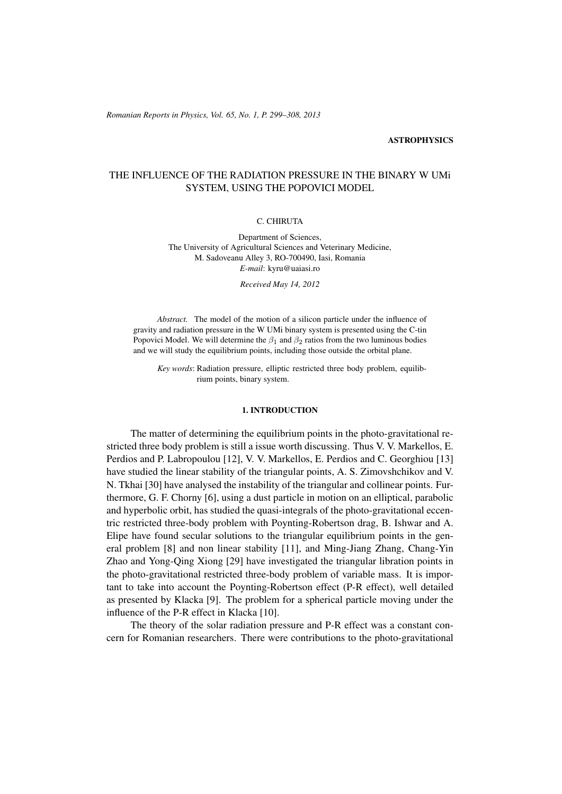# **ASTROPHYSICS**

# THE INFLUENCE OF THE RADIATION PRESSURE IN THE BINARY W UMi SYSTEM, USING THE POPOVICI MODEL

# C. CHIRUTA

Department of Sciences, The University of Agricultural Sciences and Veterinary Medicine, M. Sadoveanu Alley 3, RO-700490, Iasi, Romania *E-mail*: kyru@uaiasi.ro

*Received May 14, 2012*

*Abstract.* The model of the motion of a silicon particle under the influence of gravity and radiation pressure in the W UMi binary system is presented using the C-tin Popovici Model. We will determine the  $\beta_1$  and  $\beta_2$  ratios from the two luminous bodies and we will study the equilibrium points, including those outside the orbital plane.

*Key words*: Radiation pressure, elliptic restricted three body problem, equilibrium points, binary system.

# 1. INTRODUCTION

The matter of determining the equilibrium points in the photo-gravitational restricted three body problem is still a issue worth discussing. Thus V. V. Markellos, E. Perdios and P. Labropoulou [12], V. V. Markellos, E. Perdios and C. Georghiou [13] have studied the linear stability of the triangular points, A. S. Zimovshchikov and V. N. Tkhai [30] have analysed the instability of the triangular and collinear points. Furthermore, G. F. Chorny [6], using a dust particle in motion on an elliptical, parabolic and hyperbolic orbit, has studied the quasi-integrals of the photo-gravitational eccentric restricted three-body problem with Poynting-Robertson drag, B. Ishwar and A. Elipe have found secular solutions to the triangular equilibrium points in the general problem [8] and non linear stability [11], and Ming-Jiang Zhang, Chang-Yin Zhao and Yong-Qing Xiong [29] have investigated the triangular libration points in the photo-gravitational restricted three-body problem of variable mass. It is important to take into account the Poynting-Robertson effect (P-R effect), well detailed as presented by Klacka [9]. The problem for a spherical particle moving under the influence of the P-R effect in Klacka [10].

The theory of the solar radiation pressure and P-R effect was a constant concern for Romanian researchers. There were contributions to the photo-gravitational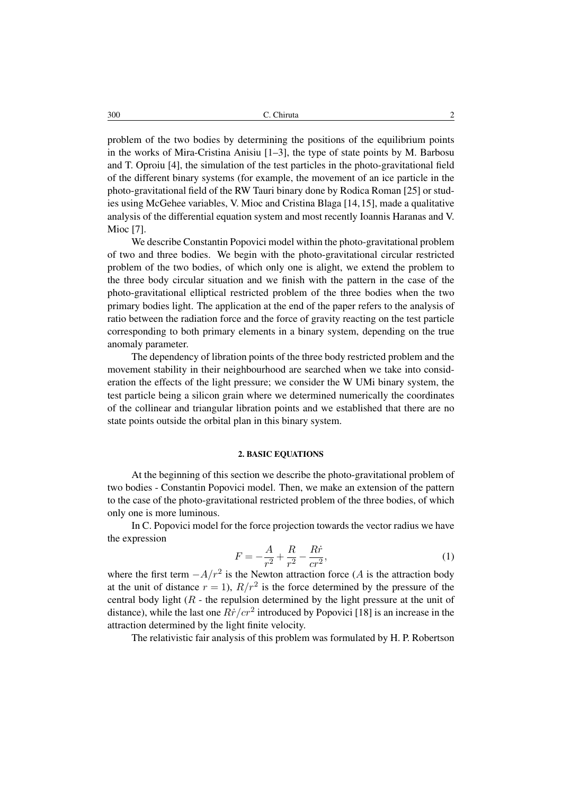300 C. Chiruta 2

problem of the two bodies by determining the positions of the equilibrium points in the works of Mira-Cristina Anisiu [1–3], the type of state points by M. Barbosu and T. Oproiu [4], the simulation of the test particles in the photo-gravitational field of the different binary systems (for example, the movement of an ice particle in the photo-gravitational field of the RW Tauri binary done by Rodica Roman [25] or studies using McGehee variables, V. Mioc and Cristina Blaga [14,15], made a qualitative analysis of the differential equation system and most recently Ioannis Haranas and V. Mioc [7].

We describe Constantin Popovici model within the photo-gravitational problem of two and three bodies. We begin with the photo-gravitational circular restricted problem of the two bodies, of which only one is alight, we extend the problem to the three body circular situation and we finish with the pattern in the case of the photo-gravitational elliptical restricted problem of the three bodies when the two primary bodies light. The application at the end of the paper refers to the analysis of ratio between the radiation force and the force of gravity reacting on the test particle corresponding to both primary elements in a binary system, depending on the true anomaly parameter.

The dependency of libration points of the three body restricted problem and the movement stability in their neighbourhood are searched when we take into consideration the effects of the light pressure; we consider the W UMi binary system, the test particle being a silicon grain where we determined numerically the coordinates of the collinear and triangular libration points and we established that there are no state points outside the orbital plan in this binary system.

# 2. BASIC EQUATIONS

At the beginning of this section we describe the photo-gravitational problem of two bodies - Constantin Popovici model. Then, we make an extension of the pattern to the case of the photo-gravitational restricted problem of the three bodies, of which only one is more luminous.

In C. Popovici model for the force projection towards the vector radius we have the expression

$$
F = -\frac{A}{r^2} + \frac{R}{r^2} - \frac{R\dot{r}}{cr^2},\tag{1}
$$

where the first term  $-A/r^2$  is the Newton attraction force (A is the attraction body at the unit of distance  $r = 1$ ,  $R/r^2$  is the force determined by the pressure of the central body light  $(R -$  the repulsion determined by the light pressure at the unit of distance), while the last one  $R\dot{r}/cr^2$  introduced by Popovici [18] is an increase in the attraction determined by the light finite velocity.

The relativistic fair analysis of this problem was formulated by H. P. Robertson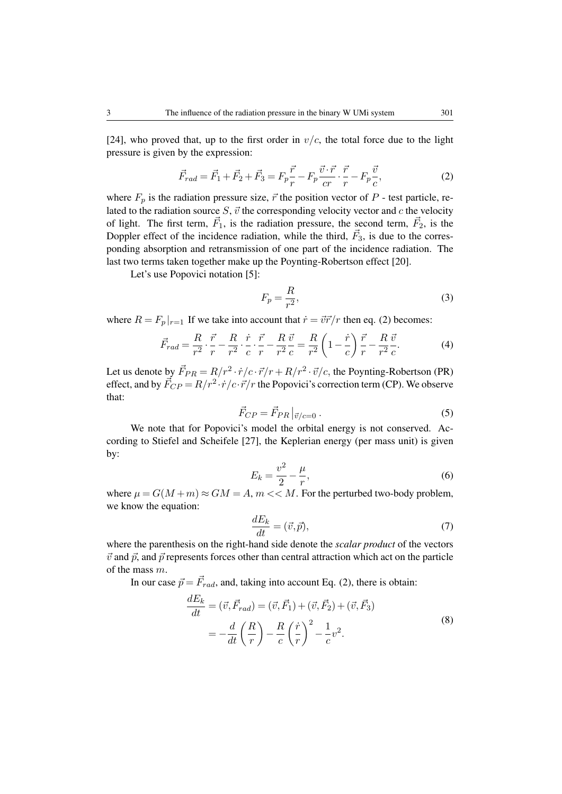[24], who proved that, up to the first order in  $v/c$ , the total force due to the light pressure is given by the expression:

$$
\vec{F}_{rad} = \vec{F}_1 + \vec{F}_2 + \vec{F}_3 = F_p \frac{\vec{r}}{r} - F_p \frac{\vec{v} \cdot \vec{r}}{cr} \cdot \frac{\vec{r}}{r} - F_p \frac{\vec{v}}{c},\tag{2}
$$

where  $F_p$  is the radiation pressure size,  $\vec{r}$  the position vector of P - test particle, related to the radiation source  $S$ ,  $\vec{v}$  the corresponding velocity vector and  $c$  the velocity of light. The first term,  $\vec{F}_1$ , is the radiation pressure, the second term,  $\vec{F}_2$ , is the Doppler effect of the incidence radiation, while the third,  $\vec{F}_3$ , is due to the corresponding absorption and retransmission of one part of the incidence radiation. The last two terms taken together make up the Poynting-Robertson effect [20].

Let's use Popovici notation [5]:

$$
F_p = \frac{R}{r^2},\tag{3}
$$

where  $R = F_p |_{r=1}$  If we take into account that  $\dot{r} = \vec{v}\vec{r}/r$  then eq. (2) becomes:

$$
\vec{F}_{rad} = \frac{R}{r^2} \cdot \frac{\vec{r}}{r} - \frac{R}{r^2} \cdot \frac{\dot{r}}{c} \cdot \frac{\vec{r}}{r} - \frac{R}{r^2} \frac{\vec{v}}{c} = \frac{R}{r^2} \left( 1 - \frac{\dot{r}}{c} \right) \frac{\vec{r}}{r} - \frac{R}{r^2} \frac{\vec{v}}{c}.
$$
 (4)

Let us denote by  $\vec{F}_{PR} = R/r^2 \cdot \dot{r}/c \cdot \vec{r}/r + R/r^2 \cdot \vec{v}/c$ , the Poynting-Robertson (PR) effect, and by  $\vec{F}_{CP} = R/r^2 \cdot \dot{r}/c \cdot \vec{r}/r$  the Popovici's correction term (CP). We observe that:

$$
\vec{F}_{CP} = \vec{F}_{PR} \vert_{\vec{v}/c=0} \,. \tag{5}
$$

We note that for Popovici's model the orbital energy is not conserved. According to Stiefel and Scheifele [27], the Keplerian energy (per mass unit) is given by:

$$
E_k = \frac{v^2}{2} - \frac{\mu}{r},\tag{6}
$$

where  $\mu = G(M+m) \approx GM = A$ ,  $m \ll M$ . For the perturbed two-body problem, we know the equation:

$$
\frac{dE_k}{dt} = (\vec{v}, \vec{p}),\tag{7}
$$

where the parenthesis on the right-hand side denote the *scalar product* of the vectors  $\vec{v}$  and  $\vec{p}$ , and  $\vec{p}$  represents forces other than central attraction which act on the particle of the mass m.

In our case  $\vec{p} = \vec{F}_{rad}$ , and, taking into account Eq. (2), there is obtain:

$$
\frac{dE_k}{dt} = (\vec{v}, \vec{F}_{rad}) = (\vec{v}, \vec{F}_1) + (\vec{v}, \vec{F}_2) + (\vec{v}, \vec{F}_3)
$$
\n
$$
= -\frac{d}{dt} \left(\frac{R}{r}\right) - \frac{R}{c} \left(\frac{\dot{r}}{r}\right)^2 - \frac{1}{c} v^2.
$$
\n(8)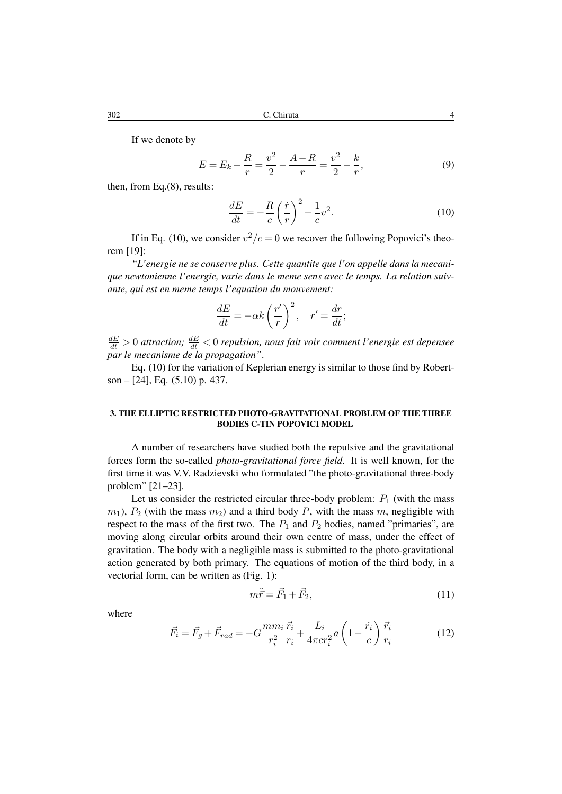If we denote by

$$
E = E_k + \frac{R}{r} = \frac{v^2}{2} - \frac{A - R}{r} = \frac{v^2}{2} - \frac{k}{r},\tag{9}
$$

then, from Eq.(8), results:

$$
\frac{dE}{dt} = -\frac{R}{c} \left(\frac{\dot{r}}{r}\right)^2 - \frac{1}{c} v^2.
$$
\n(10)

If in Eq. (10), we consider  $v^2/c = 0$  we recover the following Popovici's theorem [19]:

*"L'energie ne se conserve plus. Cette quantite que l'on appelle dans la mecanique newtonienne l'energie, varie dans le meme sens avec le temps. La relation suivante, qui est en meme temps l'equation du mouvement:*

$$
\frac{dE}{dt} = -\alpha k \left(\frac{r'}{r}\right)^2, \quad r' = \frac{dr}{dt};
$$

 $\frac{dE}{dt} > 0$  attraction;  $\frac{dE}{dt} < 0$  repulsion, nous fait voir comment l'energie est depensee *par le mecanisme de la propagation"*.

Eq. (10) for the variation of Keplerian energy is similar to those find by Robertson – [24], Eq. (5.10) p. 437.

# 3. THE ELLIPTIC RESTRICTED PHOTO-GRAVITATIONAL PROBLEM OF THE THREE BODIES C-TIN POPOVICI MODEL

A number of researchers have studied both the repulsive and the gravitational forces form the so-called *photo-gravitational force field*. It is well known, for the first time it was V.V. Radzievski who formulated "the photo-gravitational three-body problem" [21–23].

Let us consider the restricted circular three-body problem:  $P_1$  (with the mass  $m_1$ ,  $P_2$  (with the mass  $m_2$ ) and a third body P, with the mass m, negligible with respect to the mass of the first two. The  $P_1$  and  $P_2$  bodies, named "primaries", are moving along circular orbits around their own centre of mass, under the effect of gravitation. The body with a negligible mass is submitted to the photo-gravitational action generated by both primary. The equations of motion of the third body, in a vectorial form, can be written as (Fig. 1):

$$
m\ddot{\vec{r}} = \vec{F}_1 + \vec{F}_2,\tag{11}
$$

where

$$
\vec{F}_i = \vec{F}_g + \vec{F}_{rad} = -G \frac{m m_i}{r_i^2} \frac{\vec{r}_i}{r_i} + \frac{L_i}{4\pi c r_i^2} a \left( 1 - \frac{\dot{r}_i}{c} \right) \frac{\vec{r}_i}{r_i}
$$
(12)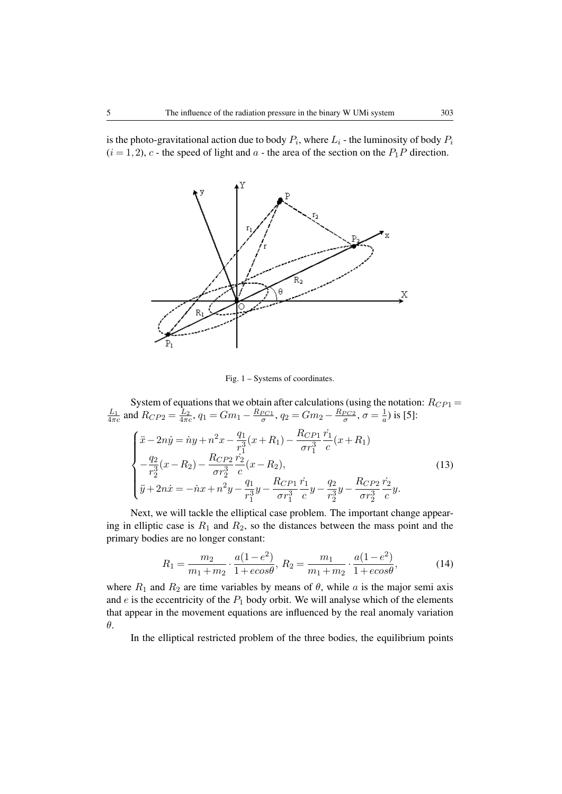is the photo-gravitational action due to body  $P_i$ , where  $L_i$  - the luminosity of body  $P_i$  $(i = 1, 2)$ , c - the speed of light and a - the area of the section on the  $P_1P$  direction.



Fig. 1 – Systems of coordinates.

System of equations that we obtain after calculations (using the notation:  $R_{CP1} =$  $\frac{L_1}{4\pi c}$  and  $R_{CP2} = \frac{L_2}{4\pi c}$ ,  $q_1 = Gm_1 - \frac{R_{PC1}}{\sigma}$ ,  $q_2 = Gm_2 - \frac{R_{PC2}}{\sigma}$ ,  $\sigma = \frac{1}{a}$  $\frac{1}{a}$ ) is [5]:

$$
\begin{cases}\n\ddot{x} - 2n\dot{y} = \dot{r}y + n^2x - \frac{q_1}{r_1^3}(x + R_1) - \frac{R_{CP1}}{\sigma r_1^3} \frac{\dot{r}_1}{c}(x + R_1) \\
-\frac{q_2}{r_2^3}(x - R_2) - \frac{R_{CP2}}{\sigma r_2^3} \frac{\dot{r}_2}{c}(x - R_2), \\
\ddot{y} + 2n\dot{x} = -\dot{r}x + n^2y - \frac{q_1}{r_1^3}y - \frac{R_{CP1}}{\sigma r_1^3} \frac{\dot{r}_1}{c}y - \frac{q_2}{r_2^3}y - \frac{R_{CP2}}{\sigma r_2^3} \frac{\dot{r}_2}{c}y.\n\end{cases} (13)
$$

Next, we will tackle the elliptical case problem. The important change appearing in elliptic case is  $R_1$  and  $R_2$ , so the distances between the mass point and the primary bodies are no longer constant:

$$
R_1 = \frac{m_2}{m_1 + m_2} \cdot \frac{a(1 - e^2)}{1 + e\cos\theta}, \ R_2 = \frac{m_1}{m_1 + m_2} \cdot \frac{a(1 - e^2)}{1 + e\cos\theta}, \tag{14}
$$

where  $R_1$  and  $R_2$  are time variables by means of  $\theta$ , while a is the major semi axis and  $e$  is the eccentricity of the  $P_1$  body orbit. We will analyse which of the elements that appear in the movement equations are influenced by the real anomaly variation θ.

In the elliptical restricted problem of the three bodies, the equilibrium points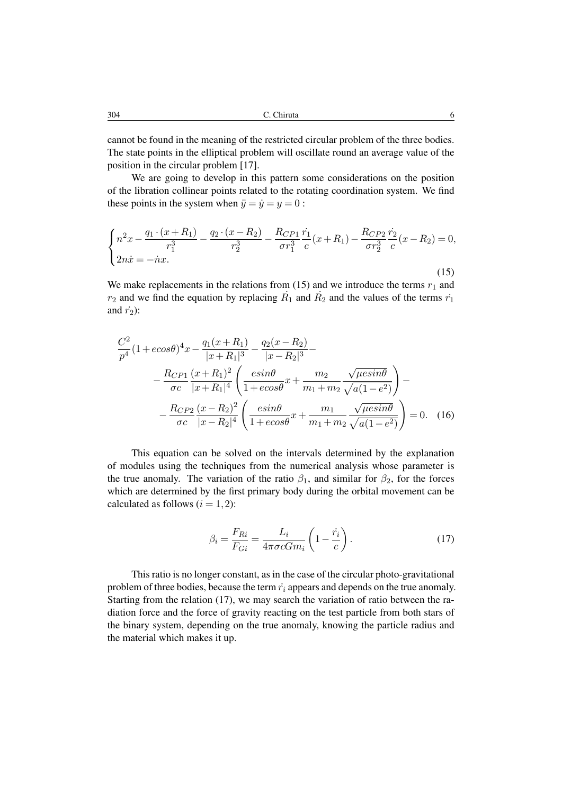cannot be found in the meaning of the restricted circular problem of the three bodies. The state points in the elliptical problem will oscillate round an average value of the position in the circular problem [17].

We are going to develop in this pattern some considerations on the position of the libration collinear points related to the rotating coordination system. We find these points in the system when  $\ddot{y} = \dot{y} = y = 0$ :

$$
\begin{cases}\nn^2x - \frac{q_1 \cdot (x + R_1)}{r_1^3} - \frac{q_2 \cdot (x - R_2)}{r_2^3} - \frac{R_{CP1}}{\sigma r_1^3} \frac{\dot{r_1}}{c}(x + R_1) - \frac{R_{CP2}}{\sigma r_2^3} \frac{\dot{r_2}}{c}(x - R_2) = 0, \\
2n\dot{x} = -\dot{n}x.\n\end{cases} \tag{15}
$$

We make replacements in the relations from (15) and we introduce the terms  $r_1$  and  $r_2$  and we find the equation by replacing  $\dot{R_1}$  and  $\dot{R_2}$  and the values of the terms  $\dot{r_1}$ and  $\dot{r}_2$ ):

$$
\frac{C^2}{p^4} (1 + e \cos \theta)^4 x - \frac{q_1 (x + R_1)}{|x + R_1|^3} - \frac{q_2 (x - R_2)}{|x - R_2|^3} - \frac{R_{CP1} (x + R_1)^2}{\sigma c} \left( \frac{e \sin \theta}{|x + R_1|^4} \left( \frac{e \sin \theta}{1 + e \cos \theta} x + \frac{m_2}{m_1 + m_2} \frac{\sqrt{\mu e \sin \theta}}{\sqrt{a (1 - e^2)}} \right) - \frac{R_{CP2} (x - R_2)^2}{\sigma c} \left( \frac{e \sin \theta}{|x - R_2|^4} \left( \frac{m_1}{1 + e \cos \theta} x + \frac{m_1}{m_1 + m_2} \frac{\sqrt{\mu e \sin \theta}}{\sqrt{a (1 - e^2)}} \right) = 0.
$$
 (16)

This equation can be solved on the intervals determined by the explanation of modules using the techniques from the numerical analysis whose parameter is the true anomaly. The variation of the ratio  $\beta_1$ , and similar for  $\beta_2$ , for the forces which are determined by the first primary body during the orbital movement can be calculated as follows  $(i = 1, 2)$ :

$$
\beta_i = \frac{F_{Ri}}{F_{Gi}} = \frac{L_i}{4\pi\sigma c G m_i} \left(1 - \frac{\dot{r}_i}{c}\right). \tag{17}
$$

This ratio is no longer constant, as in the case of the circular photo-gravitational problem of three bodies, because the term  $\dot{r}_i$  appears and depends on the true anomaly. Starting from the relation (17), we may search the variation of ratio between the radiation force and the force of gravity reacting on the test particle from both stars of the binary system, depending on the true anomaly, knowing the particle radius and the material which makes it up.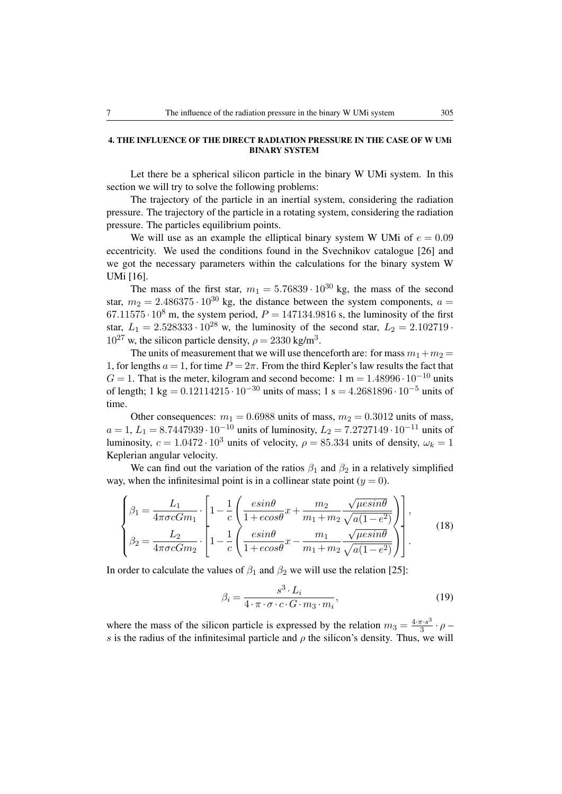# 4. THE INFLUENCE OF THE DIRECT RADIATION PRESSURE IN THE CASE OF W UMi BINARY SYSTEM

Let there be a spherical silicon particle in the binary W UMi system. In this section we will try to solve the following problems:

The trajectory of the particle in an inertial system, considering the radiation pressure. The trajectory of the particle in a rotating system, considering the radiation pressure. The particles equilibrium points.

We will use as an example the elliptical binary system W UMi of  $e = 0.09$ eccentricity. We used the conditions found in the Svechnikov catalogue [26] and we got the necessary parameters within the calculations for the binary system W UMi [16].

The mass of the first star,  $m_1 = 5.76839 \cdot 10^{30}$  kg, the mass of the second star,  $m_2 = 2.486375 \cdot 10^{30}$  kg, the distance between the system components,  $a =$ 67.11575 $\cdot$  10<sup>8</sup> m, the system period,  $P = 147134.9816$  s, the luminosity of the first star,  $L_1 = 2.528333 \cdot 10^{28}$  w, the luminosity of the second star,  $L_2 = 2.102719$ .  $10^{27}$  w, the silicon particle density,  $\rho = 2330 \text{ kg/m}^3$ .

The units of measurement that we will use thenceforth are: for mass  $m_1+m_2 =$ 1, for lengths  $a = 1$ , for time  $P = 2\pi$ . From the third Kepler's law results the fact that  $G = 1$ . That is the meter, kilogram and second become: 1 m = 1.48996 · 10<sup>-10</sup> units of length; 1 kg =  $0.12114215 \cdot 10^{-30}$  units of mass; 1 s =  $4.2681896 \cdot 10^{-5}$  units of time.

Other consequences:  $m_1 = 0.6988$  units of mass,  $m_2 = 0.3012$  units of mass,  $a = 1, L_1 = 8.7447939 \cdot 10^{-10}$  units of luminosity,  $L_2 = 7.2727149 \cdot 10^{-11}$  units of luminosity,  $c = 1.0472 \cdot 10^3$  units of velocity,  $\rho = 85.334$  units of density,  $\omega_k = 1$ Keplerian angular velocity.

We can find out the variation of the ratios  $\beta_1$  and  $\beta_2$  in a relatively simplified way, when the infinitesimal point is in a collinear state point  $(y = 0)$ .

$$
\begin{cases}\n\beta_1 = \frac{L_1}{4\pi\sigma c G m_1} \cdot \left[ 1 - \frac{1}{c} \left( \frac{e \sin \theta}{1 + e \cos \theta} x + \frac{m_2}{m_1 + m_2} \frac{\sqrt{\mu e \sin \theta}}{\sqrt{a(1 - e^2)}} \right) \right], \\
\beta_2 = \frac{L_2}{4\pi\sigma c G m_2} \cdot \left[ 1 - \frac{1}{c} \left( \frac{e \sin \theta}{1 + e \cos \theta} x - \frac{m_1}{m_1 + m_2} \frac{\sqrt{\mu e \sin \theta}}{\sqrt{a(1 - e^2)}} \right) \right].\n\end{cases} (18)
$$

In order to calculate the values of  $\beta_1$  and  $\beta_2$  we will use the relation [25]:

$$
\beta_i = \frac{s^3 \cdot L_i}{4 \cdot \pi \cdot \sigma \cdot c \cdot G \cdot m_3 \cdot m_i},\tag{19}
$$

where the mass of the silicon particle is expressed by the relation  $m_3 = \frac{4 \cdot \pi \cdot s^3}{3}$  $rac{\pi \cdot s^3}{3} \cdot \rho$ s is the radius of the infinitesimal particle and  $\rho$  the silicon's density. Thus, we will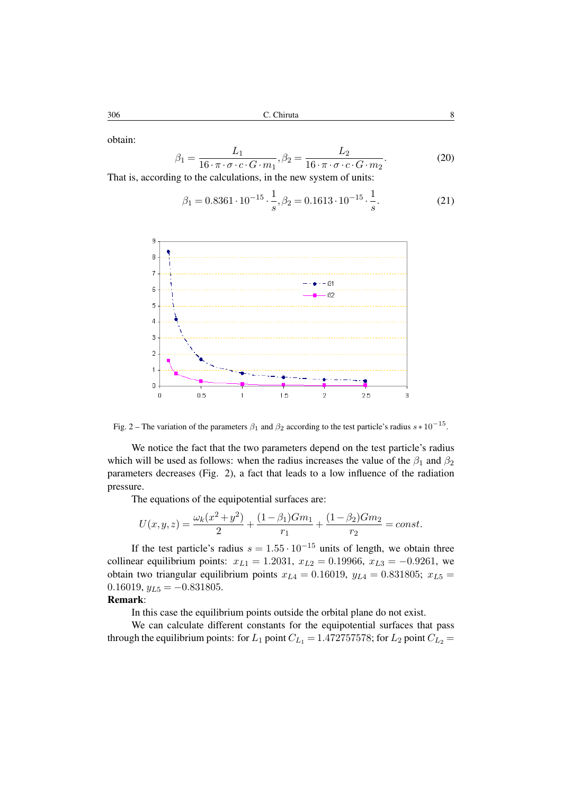obtain:

$$
\beta_1 = \frac{L_1}{16 \cdot \pi \cdot \sigma \cdot c \cdot G \cdot m_1}, \beta_2 = \frac{L_2}{16 \cdot \pi \cdot \sigma \cdot c \cdot G \cdot m_2}.
$$
\n(20)

That is, according to the calculations, in the new system of units:

$$
\beta_1 = 0.8361 \cdot 10^{-15} \cdot \frac{1}{s}, \beta_2 = 0.1613 \cdot 10^{-15} \cdot \frac{1}{s}.
$$
 (21)



Fig. 2 – The variation of the parameters  $\beta_1$  and  $\beta_2$  according to the test particle's radius  $s * 10^{-15}$ .

We notice the fact that the two parameters depend on the test particle's radius which will be used as follows: when the radius increases the value of the  $\beta_1$  and  $\beta_2$ parameters decreases (Fig. 2), a fact that leads to a low influence of the radiation pressure.

The equations of the equipotential surfaces are:

$$
U(x,y,z) = \frac{\omega_k(x^2 + y^2)}{2} + \frac{(1 - \beta_1)Gm_1}{r_1} + \frac{(1 - \beta_2)Gm_2}{r_2} = const.
$$

If the test particle's radius  $s = 1.55 \cdot 10^{-15}$  units of length, we obtain three collinear equilibrium points:  $x_{L1} = 1.2031$ ,  $x_{L2} = 0.19966$ ,  $x_{L3} = -0.9261$ , we obtain two triangular equilibrium points  $x_{L4} = 0.16019$ ,  $y_{L4} = 0.831805$ ;  $x_{L5} =$  $0.16019, y_{L5} = -0.831805.$ 

# Remark:

In this case the equilibrium points outside the orbital plane do not exist.

We can calculate different constants for the equipotential surfaces that pass through the equilibrium points: for  $L_1$  point  $C_{L_1} = 1.472757578$ ; for  $L_2$  point  $C_{L_2} =$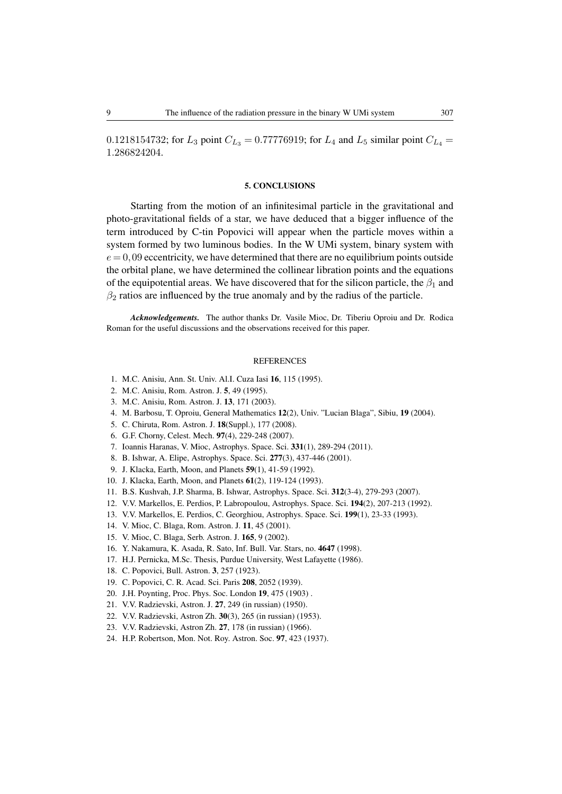0.1218154732; for  $L_3$  point  $C_{L_3} = 0.77776919$ ; for  $L_4$  and  $L_5$  similar point  $C_{L_4} =$ 1.286824204.

#### 5. CONCLUSIONS

Starting from the motion of an infinitesimal particle in the gravitational and photo-gravitational fields of a star, we have deduced that a bigger influence of the term introduced by C-tin Popovici will appear when the particle moves within a system formed by two luminous bodies. In the W UMi system, binary system with  $e = 0.09$  eccentricity, we have determined that there are no equilibrium points outside the orbital plane, we have determined the collinear libration points and the equations of the equipotential areas. We have discovered that for the silicon particle, the  $\beta_1$  and  $\beta_2$  ratios are influenced by the true anomaly and by the radius of the particle.

*Acknowledgements.* The author thanks Dr. Vasile Mioc, Dr. Tiberiu Oproiu and Dr. Rodica Roman for the useful discussions and the observations received for this paper.

#### **REFERENCES**

- 1. M.C. Anisiu, Ann. St. Univ. Al.I. Cuza Iasi 16, 115 (1995).
- 2. M.C. Anisiu, Rom. Astron. J. 5, 49 (1995).
- 3. M.C. Anisiu, Rom. Astron. J. 13, 171 (2003).
- 4. M. Barbosu, T. Oproiu, General Mathematics 12(2), Univ. "Lucian Blaga", Sibiu, 19 (2004).
- 5. C. Chiruta, Rom. Astron. J. 18(Suppl.), 177 (2008).
- 6. G.F. Chorny, Celest. Mech. 97(4), 229-248 (2007).
- 7. Ioannis Haranas, V. Mioc, Astrophys. Space. Sci. 331(1), 289-294 (2011).
- 8. B. Ishwar, A. Elipe, Astrophys. Space. Sci. 277(3), 437-446 (2001).
- 9. J. Klacka, Earth, Moon, and Planets 59(1), 41-59 (1992).
- 10. J. Klacka, Earth, Moon, and Planets 61(2), 119-124 (1993).
- 11. B.S. Kushvah, J.P. Sharma, B. Ishwar, Astrophys. Space. Sci. 312(3-4), 279-293 (2007).
- 12. V.V. Markellos, E. Perdios, P. Labropoulou, Astrophys. Space. Sci. 194(2), 207-213 (1992).
- 13. V.V. Markellos, E. Perdios, C. Georghiou, Astrophys. Space. Sci. 199(1), 23-33 (1993).
- 14. V. Mioc, C. Blaga, Rom. Astron. J. 11, 45 (2001).
- 15. V. Mioc, C. Blaga, Serb. Astron. J. 165, 9 (2002).
- 16. Y. Nakamura, K. Asada, R. Sato, Inf. Bull. Var. Stars, no. 4647 (1998).
- 17. H.J. Pernicka, M.Sc. Thesis, Purdue University, West Lafayette (1986).
- 18. C. Popovici, Bull. Astron. 3, 257 (1923).
- 19. C. Popovici, C. R. Acad. Sci. Paris 208, 2052 (1939).
- 20. J.H. Poynting, Proc. Phys. Soc. London 19, 475 (1903) .
- 21. V.V. Radzievski, Astron. J. 27, 249 (in russian) (1950).
- 22. V.V. Radzievski, Astron Zh. 30(3), 265 (in russian) (1953).
- 23. V.V. Radzievski, Astron Zh. 27, 178 (in russian) (1966).
- 24. H.P. Robertson, Mon. Not. Roy. Astron. Soc. 97, 423 (1937).